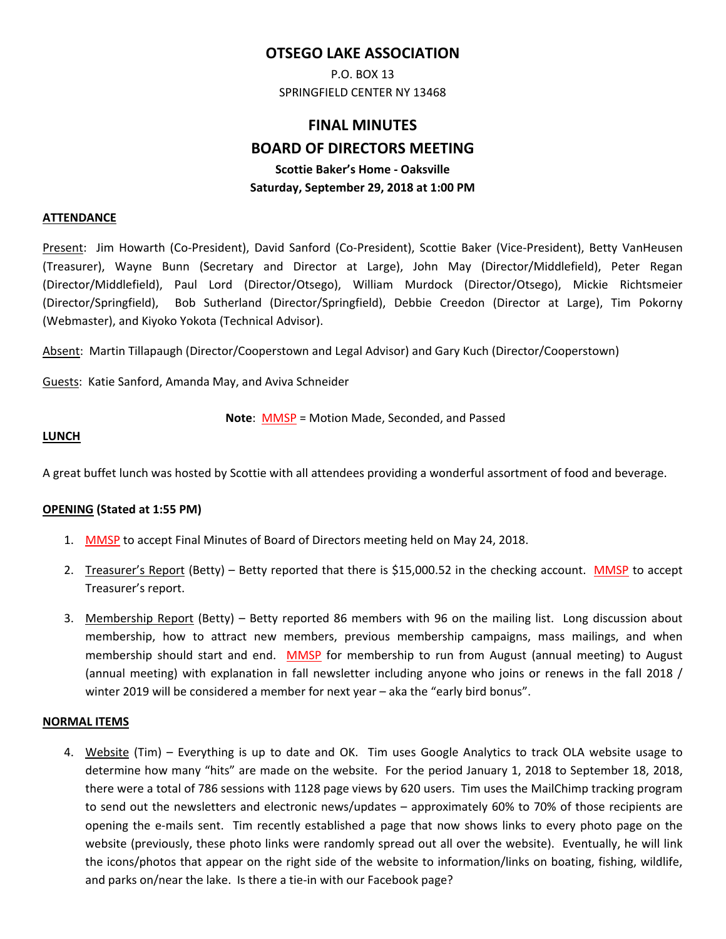## **OTSEGO LAKE ASSOCIATION**

P.O. BOX 13 SPRINGFIELD CENTER NY 13468

# **FINAL MINUTES BOARD OF DIRECTORS MEETING Scottie Baker's Home ‐ Oaksville Saturday, September 29, 2018 at 1:00 PM**

### **ATTENDANCE**

Present: Jim Howarth (Co-President), David Sanford (Co-President), Scottie Baker (Vice-President), Betty VanHeusen (Treasurer), Wayne Bunn (Secretary and Director at Large), John May (Director/Middlefield), Peter Regan (Director/Middlefield), Paul Lord (Director/Otsego), William Murdock (Director/Otsego), Mickie Richtsmeier (Director/Springfield), Bob Sutherland (Director/Springfield), Debbie Creedon (Director at Large), Tim Pokorny (Webmaster), and Kiyoko Yokota (Technical Advisor).

Absent: Martin Tillapaugh (Director/Cooperstown and Legal Advisor) and Gary Kuch (Director/Cooperstown)

Guests: Katie Sanford, Amanda May, and Aviva Schneider

**Note**: MMSP = Motion Made, Seconded, and Passed

### **LUNCH**

A great buffet lunch was hosted by Scottie with all attendees providing a wonderful assortment of food and beverage.

### **OPENING (Stated at 1:55 PM)**

- 1. MMSP to accept Final Minutes of Board of Directors meeting held on May 24, 2018.
- 2. Treasurer's Report (Betty) Betty reported that there is \$15,000.52 in the checking account. MMSP to accept Treasurer's report.
- 3. Membership Report (Betty) Betty reported 86 members with 96 on the mailing list. Long discussion about membership, how to attract new members, previous membership campaigns, mass mailings, and when membership should start and end. MMSP for membership to run from August (annual meeting) to August (annual meeting) with explanation in fall newsletter including anyone who joins or renews in the fall 2018 / winter 2019 will be considered a member for next year – aka the "early bird bonus".

### **NORMAL ITEMS**

4. Website (Tim) – Everything is up to date and OK. Tim uses Google Analytics to track OLA website usage to determine how many "hits" are made on the website. For the period January 1, 2018 to September 18, 2018, there were a total of 786 sessions with 1128 page views by 620 users. Tim uses the MailChimp tracking program to send out the newsletters and electronic news/updates – approximately 60% to 70% of those recipients are opening the e‐mails sent. Tim recently established a page that now shows links to every photo page on the website (previously, these photo links were randomly spread out all over the website). Eventually, he will link the icons/photos that appear on the right side of the website to information/links on boating, fishing, wildlife, and parks on/near the lake. Is there a tie‐in with our Facebook page?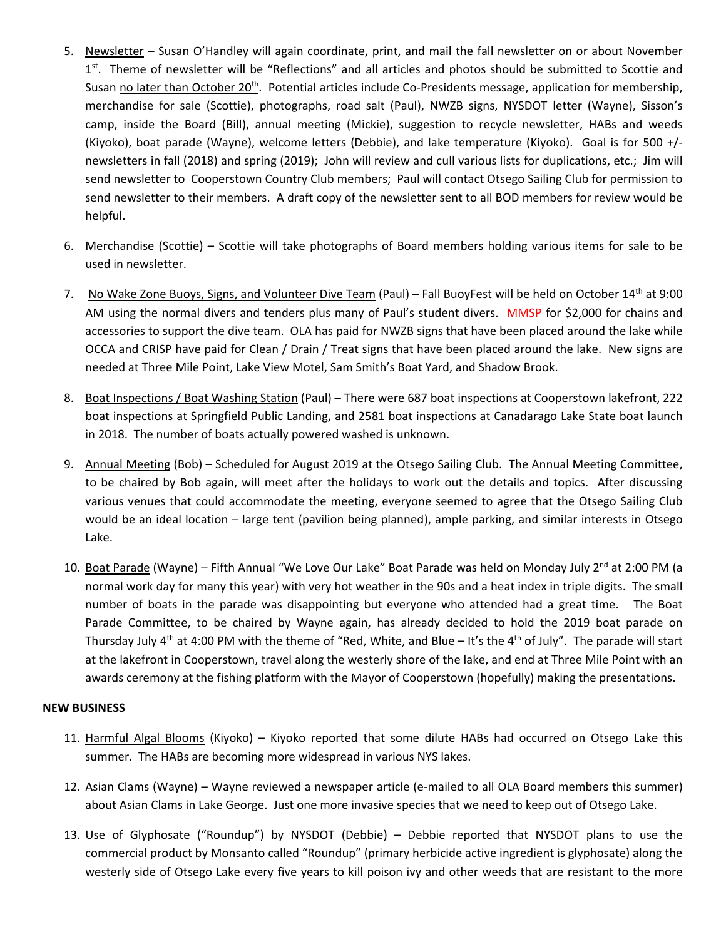- 5. Newsletter Susan O'Handley will again coordinate, print, and mail the fall newsletter on or about November 1<sup>st</sup>. Theme of newsletter will be "Reflections" and all articles and photos should be submitted to Scottie and Susan no later than October 20<sup>th</sup>. Potential articles include Co-Presidents message, application for membership, merchandise for sale (Scottie), photographs, road salt (Paul), NWZB signs, NYSDOT letter (Wayne), Sisson's camp, inside the Board (Bill), annual meeting (Mickie), suggestion to recycle newsletter, HABs and weeds (Kiyoko), boat parade (Wayne), welcome letters (Debbie), and lake temperature (Kiyoko). Goal is for 500 +/‐ newsletters in fall (2018) and spring (2019); John will review and cull various lists for duplications, etc.; Jim will send newsletter to Cooperstown Country Club members; Paul will contact Otsego Sailing Club for permission to send newsletter to their members. A draft copy of the newsletter sent to all BOD members for review would be helpful.
- 6. Merchandise (Scottie) Scottie will take photographs of Board members holding various items for sale to be used in newsletter.
- 7. No Wake Zone Buoys, Signs, and Volunteer Dive Team (Paul) Fall BuoyFest will be held on October 14<sup>th</sup> at 9:00 AM using the normal divers and tenders plus many of Paul's student divers. MMSP for \$2,000 for chains and accessories to support the dive team. OLA has paid for NWZB signs that have been placed around the lake while OCCA and CRISP have paid for Clean / Drain / Treat signs that have been placed around the lake. New signs are needed at Three Mile Point, Lake View Motel, Sam Smith's Boat Yard, and Shadow Brook.
- 8. Boat Inspections / Boat Washing Station (Paul) There were 687 boat inspections at Cooperstown lakefront, 222 boat inspections at Springfield Public Landing, and 2581 boat inspections at Canadarago Lake State boat launch in 2018. The number of boats actually powered washed is unknown.
- 9. Annual Meeting (Bob) Scheduled for August 2019 at the Otsego Sailing Club. The Annual Meeting Committee, to be chaired by Bob again, will meet after the holidays to work out the details and topics. After discussing various venues that could accommodate the meeting, everyone seemed to agree that the Otsego Sailing Club would be an ideal location – large tent (pavilion being planned), ample parking, and similar interests in Otsego Lake.
- 10. Boat Parade (Wayne) Fifth Annual "We Love Our Lake" Boat Parade was held on Monday July 2<sup>nd</sup> at 2:00 PM (a normal work day for many this year) with very hot weather in the 90s and a heat index in triple digits. The small number of boats in the parade was disappointing but everyone who attended had a great time. The Boat Parade Committee, to be chaired by Wayne again, has already decided to hold the 2019 boat parade on Thursday July  $4^{th}$  at 4:00 PM with the theme of "Red, White, and Blue – It's the  $4^{th}$  of July". The parade will start at the lakefront in Cooperstown, travel along the westerly shore of the lake, and end at Three Mile Point with an awards ceremony at the fishing platform with the Mayor of Cooperstown (hopefully) making the presentations.

### **NEW BUSINESS**

- 11. Harmful Algal Blooms (Kiyoko) Kiyoko reported that some dilute HABs had occurred on Otsego Lake this summer. The HABs are becoming more widespread in various NYS lakes.
- 12. Asian Clams (Wayne) Wayne reviewed a newspaper article (e‐mailed to all OLA Board members this summer) about Asian Clams in Lake George. Just one more invasive species that we need to keep out of Otsego Lake.
- 13. Use of Glyphosate ("Roundup") by NYSDOT (Debbie) Debbie reported that NYSDOT plans to use the commercial product by Monsanto called "Roundup" (primary herbicide active ingredient is glyphosate) along the westerly side of Otsego Lake every five years to kill poison ivy and other weeds that are resistant to the more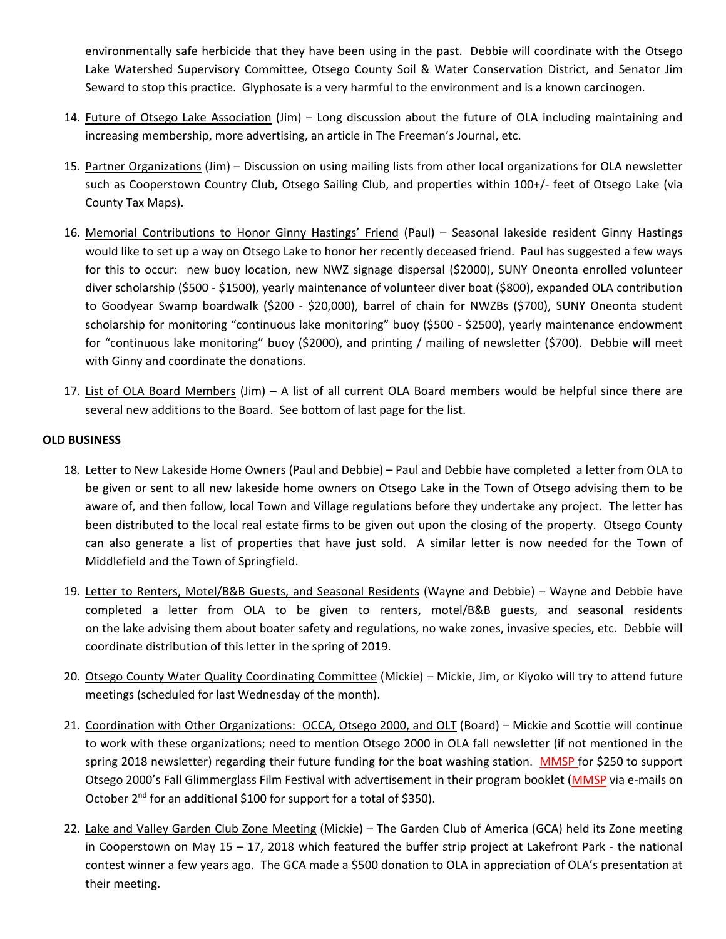environmentally safe herbicide that they have been using in the past. Debbie will coordinate with the Otsego Lake Watershed Supervisory Committee, Otsego County Soil & Water Conservation District, and Senator Jim Seward to stop this practice. Glyphosate is a very harmful to the environment and is a known carcinogen.

- 14. Future of Otsego Lake Association (Jim) Long discussion about the future of OLA including maintaining and increasing membership, more advertising, an article in The Freeman's Journal, etc.
- 15. Partner Organizations (Jim) Discussion on using mailing lists from other local organizations for OLA newsletter such as Cooperstown Country Club, Otsego Sailing Club, and properties within 100+/- feet of Otsego Lake (via County Tax Maps).
- 16. Memorial Contributions to Honor Ginny Hastings' Friend (Paul) Seasonal lakeside resident Ginny Hastings would like to set up a way on Otsego Lake to honor her recently deceased friend. Paul has suggested a few ways for this to occur: new buoy location, new NWZ signage dispersal (\$2000), SUNY Oneonta enrolled volunteer diver scholarship (\$500 ‐ \$1500), yearly maintenance of volunteer diver boat (\$800), expanded OLA contribution to Goodyear Swamp boardwalk (\$200 - \$20,000), barrel of chain for NWZBs (\$700), SUNY Oneonta student scholarship for monitoring "continuous lake monitoring" buoy (\$500 ‐ \$2500), yearly maintenance endowment for "continuous lake monitoring" buoy (\$2000), and printing / mailing of newsletter (\$700). Debbie will meet with Ginny and coordinate the donations.
- 17. List of OLA Board Members  $(\lim) A$  list of all current OLA Board members would be helpful since there are several new additions to the Board. See bottom of last page for the list.

### **OLD BUSINESS**

- 18. Letter to New Lakeside Home Owners (Paul and Debbie) Paul and Debbie have completed a letter from OLA to be given or sent to all new lakeside home owners on Otsego Lake in the Town of Otsego advising them to be aware of, and then follow, local Town and Village regulations before they undertake any project. The letter has been distributed to the local real estate firms to be given out upon the closing of the property. Otsego County can also generate a list of properties that have just sold. A similar letter is now needed for the Town of Middlefield and the Town of Springfield.
- 19. Letter to Renters, Motel/B&B Guests, and Seasonal Residents (Wayne and Debbie) Wayne and Debbie have completed a letter from OLA to be given to renters, motel/B&B guests, and seasonal residents on the lake advising them about boater safety and regulations, no wake zones, invasive species, etc. Debbie will coordinate distribution of this letter in the spring of 2019.
- 20. Otsego County Water Quality Coordinating Committee (Mickie) Mickie, Jim, or Kiyoko will try to attend future meetings (scheduled for last Wednesday of the month).
- 21. Coordination with Other Organizations: OCCA, Otsego 2000, and OLT (Board) Mickie and Scottie will continue to work with these organizations; need to mention Otsego 2000 in OLA fall newsletter (if not mentioned in the spring 2018 newsletter) regarding their future funding for the boat washing station. MMSP for \$250 to support Otsego 2000's Fall Glimmerglass Film Festival with advertisement in their program booklet (MMSP via e-mails on October 2<sup>nd</sup> for an additional \$100 for support for a total of \$350).
- 22. Lake and Valley Garden Club Zone Meeting (Mickie) The Garden Club of America (GCA) held its Zone meeting in Cooperstown on May  $15 - 17$ , 2018 which featured the buffer strip project at Lakefront Park - the national contest winner a few years ago. The GCA made a \$500 donation to OLA in appreciation of OLA's presentation at their meeting.